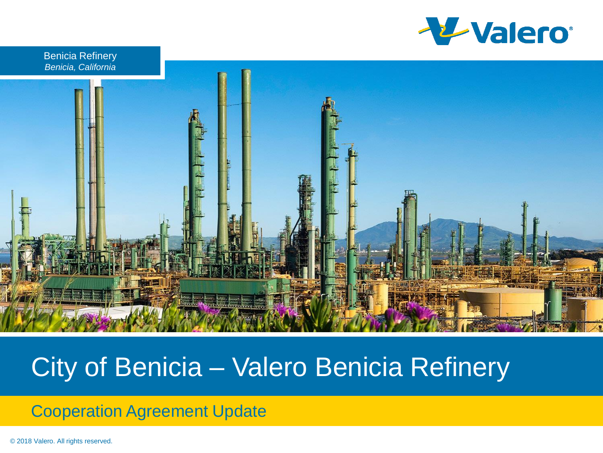

Benicia Refinery *Benicia, California*



### City of Benicia – Valero Benicia Refinery

#### Cooperation Agreement Update

© 2018 Valero. All rights reserved.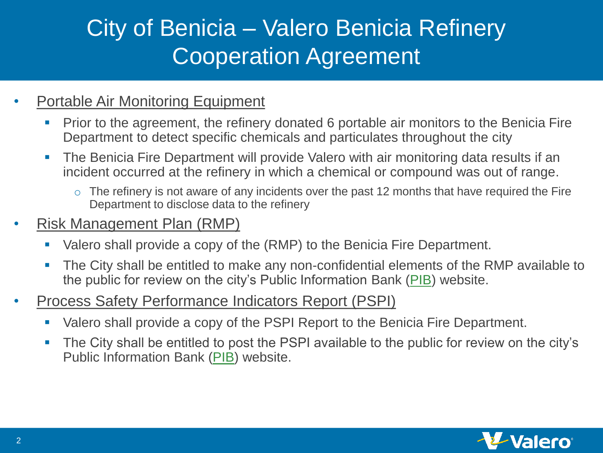# City of Benicia – Valero Benicia Refinery Cooperation Agreement

#### • Portable Air Monitoring Equipment

- Prior to the agreement, the refinery donated 6 portable air monitors to the Benicia Fire Department to detect specific chemicals and particulates throughout the city
- The Benicia Fire Department will provide Valero with air monitoring data results if an incident occurred at the refinery in which a chemical or compound was out of range.
	- $\circ$  The refinery is not aware of any incidents over the past 12 months that have required the Fire Department to disclose data to the refinery

#### • Risk Management Plan (RMP)

- Valero shall provide a copy of the (RMP) to the Benicia Fire Department.
- The City shall be entitled to make any non-confidential elements of the RMP available to the public for review on the city's Public Information Bank [\(PIB](https://www.ci.benicia.ca.us/vertical/sites/{F991A639-AAED-4E1A-9735-86EA195E2C8D}/uploads/2019_Cal_ARP_VALERO_REDACTED_FINAL_PDF.PDF)) website.
- Process Safety Performance Indicators Report (PSPI)
	- Valero shall provide a copy of the PSPI Report to the Benicia Fire Department.
	- The City shall be entitled to post the PSPI available to the public for review on the city's Public Information Bank [\(PIB\)](https://www.ci.benicia.ca.us/vertical/sites/{F991A639-AAED-4E1A-9735-86EA195E2C8D}/uploads/2019_Valero_Process_Safety_Performance_Indicators_Report.pdf) website.

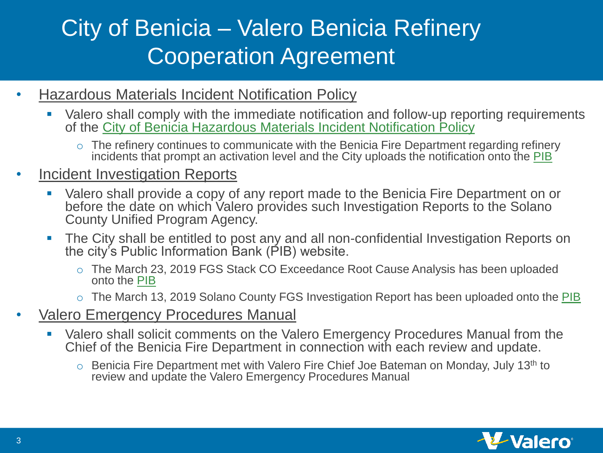# City of Benicia – Valero Benicia Refinery Cooperation Agreement

- Hazardous Materials Incident Notification Policy
	- Valero shall comply with the immediate notification and follow-up reporting requirements of the [City of Benicia Hazardous Materials Incident Notification Policy](https://www.ci.benicia.ca.us/vertical/sites/{F991A639-AAED-4E1A-9735-86EA195E2C8D}/uploads/Hazardous_Materials_Incident_Notification_Policy.pdf)
		- o The refinery continues to communicate with the Benicia Fire Department regarding refinery incidents that prompt an activation level and the City uploads the notification onto the [PIB](https://www.ci.benicia.ca.us/index.asp?SEC=D47F5F29-2E73-4FBF-88FD-7E5C3827651B&DE=020698BB-9BC3-4B2F-AD16-B1ED3CE4DDB8&Type=B_BASIC)

#### Incident Investigation Reports

- Valero shall provide a copy of any report made to the Benicia Fire Department on or before the date on which Valero provides such Investigation Reports to the Solano County Unified Program Agency.
- The City shall be entitled to post any and all non-confidential Investigation Reports on the city's Public Information Bank (PIB) website.
	- o The March 23, 2019 FGS Stack CO Exceedance Root Cause Analysis has been uploaded onto the [PIB](https://www.ci.benicia.ca.us/vertical/sites/{F991A639-AAED-4E1A-9735-86EA195E2C8D}/uploads/2019-07-25_Valero_FGS_Root_Cause_Analysis(2).pdf)
	- o The March 13, 2019 Solano County FGS Investigation Report has been uploaded onto the [PIB](https://www.ci.benicia.ca.us/vertical/sites/{F991A639-AAED-4E1A-9735-86EA195E2C8D}/uploads/2019-08-26_Solano_County_FGS_Investigation_Report(1).pdf)
- Valero Emergency Procedures Manual
	- Valero shall solicit comments on the Valero Emergency Procedures Manual from the Chief of the Benicia Fire Department in connection with each review and update.
		- o Benicia Fire Department met with Valero Fire Chief Joe Bateman on Monday, July 13<sup>th</sup> to review and update the Valero Emergency Procedures Manual

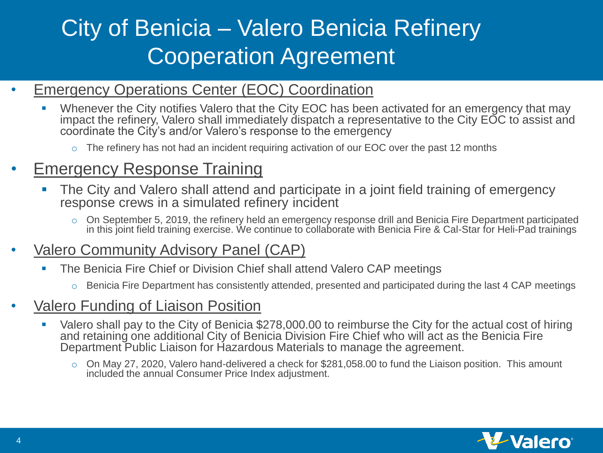# City of Benicia – Valero Benicia Refinery Cooperation Agreement

- Emergency Operations Center (EOC) Coordination
	- Whenever the City notifies Valero that the City EOC has been activated for an emergency that may impact the refinery, Valero shall immediately dispatch a representative to the City EOC to assist and coordinate the City's and/or Valero's response to the emergency
		- $\circ$  The refinery has not had an incident requiring activation of our EOC over the past 12 months

### **Emergency Response Training**

- **The City and Valero shall attend and participate in a joint field training of emergency** response crews in a simulated refinery incident
	- $\circ$  On September 5, 2019, the refinery held an emergency response drill and Benicia Fire Department participated in this joint field training exercise. We continue to collaborate with Benicia Fire & Cal-Star for Heli-Pad trainings
- Valero Community Advisory Panel (CAP)
	- The Benicia Fire Chief or Division Chief shall attend Valero CAP meetings
		- o Benicia Fire Department has consistently attended, presented and participated during the last 4 CAP meetings
- Valero Funding of Liaison Position
	- Valero shall pay to the City of Benicia \$278,000.00 to reimburse the City for the actual cost of hiring and retaining one additional City of Benicia Division Fire Chief who will act as the Benicia Fire Department Public Liaison for Hazardous Materials to manage the agreement.
		- o On May 27, 2020, Valero hand-delivered a check for \$281,058.00 to fund the Liaison position. This amount included the annual Consumer Price Index adjustment.